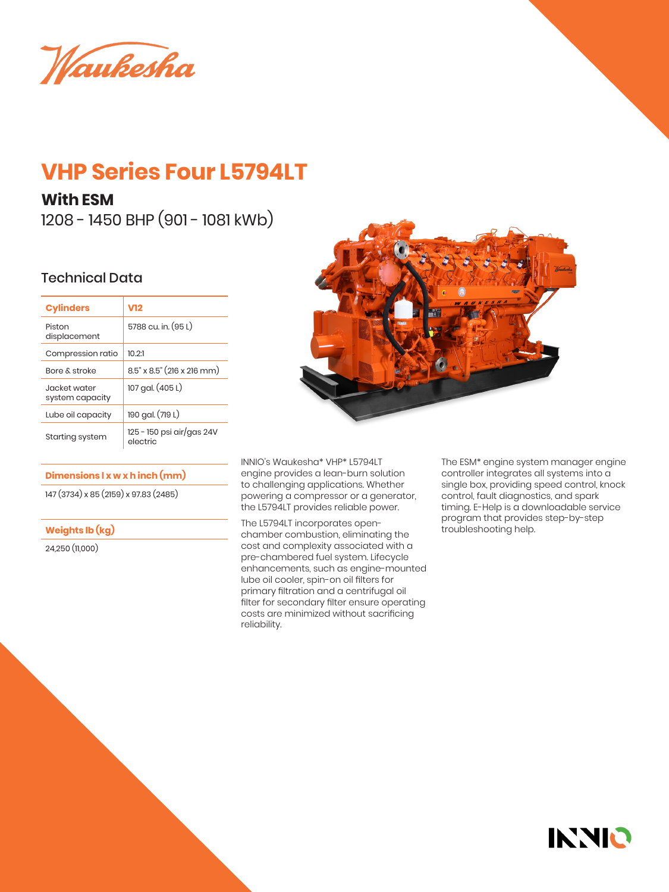Waukesha

# **VHP Series Four L5794LT**

## **With ESM**

1208 - 1450 BHP (901 - 1081 kWb)

## Technical Data

| <b>Cylinders</b>                 | V12                                   |  |
|----------------------------------|---------------------------------------|--|
| Piston<br>displacement           | 5788 cu. in. (95 L)                   |  |
| Compression ratio                | 10.21                                 |  |
| <b>Bore &amp; stroke</b>         | $8.5$ " x $8.5$ " (216 x 216 mm)      |  |
| .lacket water<br>system capacity | 107 gal. (405 L)                      |  |
| Lube oil capacity                | 190 gal. (719 L)                      |  |
| Starting system                  | 125 - 150 psi air/gas 24V<br>electric |  |

#### **Dimensions l x w x h inch (mm)**

147 (3734) x 85 (2159) x 97.83 (2485)

### **Weights lb (kg)**

24,250 (11,000)



INNIO's Waukesha\* VHP\* L5794LT engine provides a lean-burn solution to challenging applications. Whether powering a compressor or a generator, the L5794LT provides reliable power.

The L5794LT incorporates openchamber combustion, eliminating the cost and complexity associated with a pre-chambered fuel system. Lifecycle enhancements, such as engine-mounted lube oil cooler, spin-on oil filters for primary filtration and a centrifugal oil filter for secondary filter ensure operating costs are minimized without sacrificing reliability.

The ESM\* engine system manager engine controller integrates all systems into a single box, providing speed control, knock control, fault diagnostics, and spark timing. E-Help is a downloadable service program that provides step-by-step troubleshooting help.